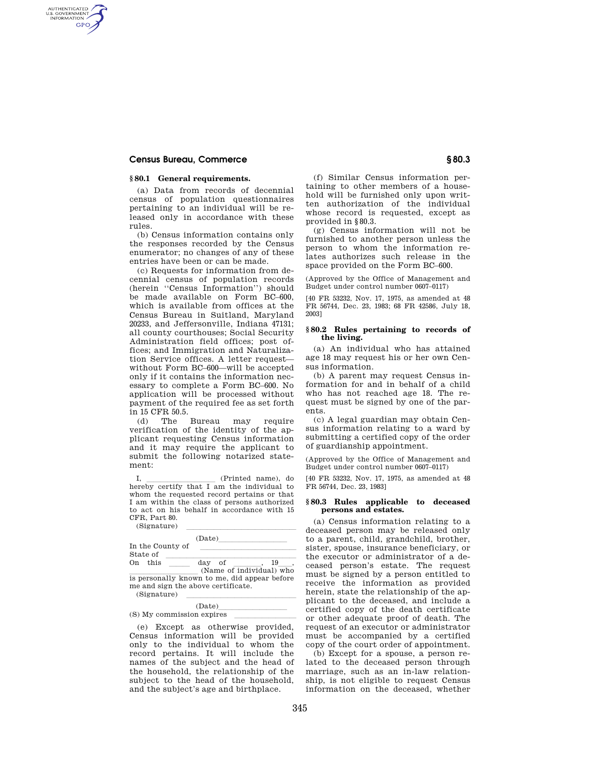# **Census Bureau, Commerce § 80.3**

AUTHENTICATED<br>U.S. GOVERNMENT<br>INFORMATION **GPO** 

## **§ 80.1 General requirements.**

(a) Data from records of decennial census of population questionnaires pertaining to an individual will be released only in accordance with these rules.

(b) Census information contains only the responses recorded by the Census enumerator; no changes of any of these entries have been or can be made.

(c) Requests for information from decennial census of population records (herein "Census Information") should be made available on Form BC–600, which is available from offices at the Census Bureau in Suitland, Maryland 20233, and Jeffersonville, Indiana 47131; all county courthouses; Social Security Administration field offices; post offices; and Immigration and Naturalization Service offices. A letter request without Form BC–600—will be accepted only if it contains the information necessary to complete a Form BC–600. No application will be processed without payment of the required fee as set forth in 15 CFR 50.5.

(d) The Bureau may require verification of the identity of the applicant requesting Census information and it may require the applicant to submit the following notarized statement:

I,  $\frac{1}{\text{Perbry}}$  (Printed name), do hereby certify that I am the individual to whom the requested record pertains or that I am within the class of persons authorized to act on his behalf in accordance with 15 CFR, Part 80.

| (Signature)                                                                                       |        |                                |
|---------------------------------------------------------------------------------------------------|--------|--------------------------------|
|                                                                                                   | (Date) |                                |
| In the County of                                                                                  |        |                                |
| State of                                                                                          |        |                                |
| On this                                                                                           | day of | 19<br>(Name of individual) who |
| is personally known to me, did appear before<br>me and sign the above certificate.<br>(Signature) |        |                                |

# $\frac{(\text{Date})}{\text{points}}$  $(S)$  My commission expires  $\overline{\qquad \qquad }$

(e) Except as otherwise provided, Census information will be provided only to the individual to whom the record pertains. It will include the names of the subject and the head of the household, the relationship of the subject to the head of the household, and the subject's age and birthplace.

(f) Similar Census information pertaining to other members of a household will be furnished only upon written authorization of the individual whose record is requested, except as provided in §80.3.

(g) Census information will not be furnished to another person unless the person to whom the information relates authorizes such release in the space provided on the Form BC–600.

(Approved by the Office of Management and Budget under control number 0607–0117)

[40 FR 53232, Nov. 17, 1975, as amended at 48 FR 56744, Dec. 23, 1983; 68 FR 42586, July 18, 2003]

## **§ 80.2 Rules pertaining to records of the living.**

(a) An individual who has attained age 18 may request his or her own Census information.

(b) A parent may request Census information for and in behalf of a child who has not reached age 18. The request must be signed by one of the parents.

(c) A legal guardian may obtain Census information relating to a ward by submitting a certified copy of the order of guardianship appointment.

(Approved by the Office of Management and Budget under control number 0607–0117)

[40 FR 53232, Nov. 17, 1975, as amended at 48 FR 56744, Dec. 23, 1983]

### **§ 80.3 Rules applicable to deceased persons and estates.**

(a) Census information relating to a deceased person may be released only to a parent, child, grandchild, brother, sister, spouse, insurance beneficiary, or the executor or administrator of a deceased person's estate. The request must be signed by a person entitled to receive the information as provided herein, state the relationship of the applicant to the deceased, and include a certified copy of the death certificate or other adequate proof of death. The request of an executor or administrator must be accompanied by a certified copy of the court order of appointment.

(b) Except for a spouse, a person related to the deceased person through marriage, such as an in-law relationship, is not eligible to request Census information on the deceased, whether